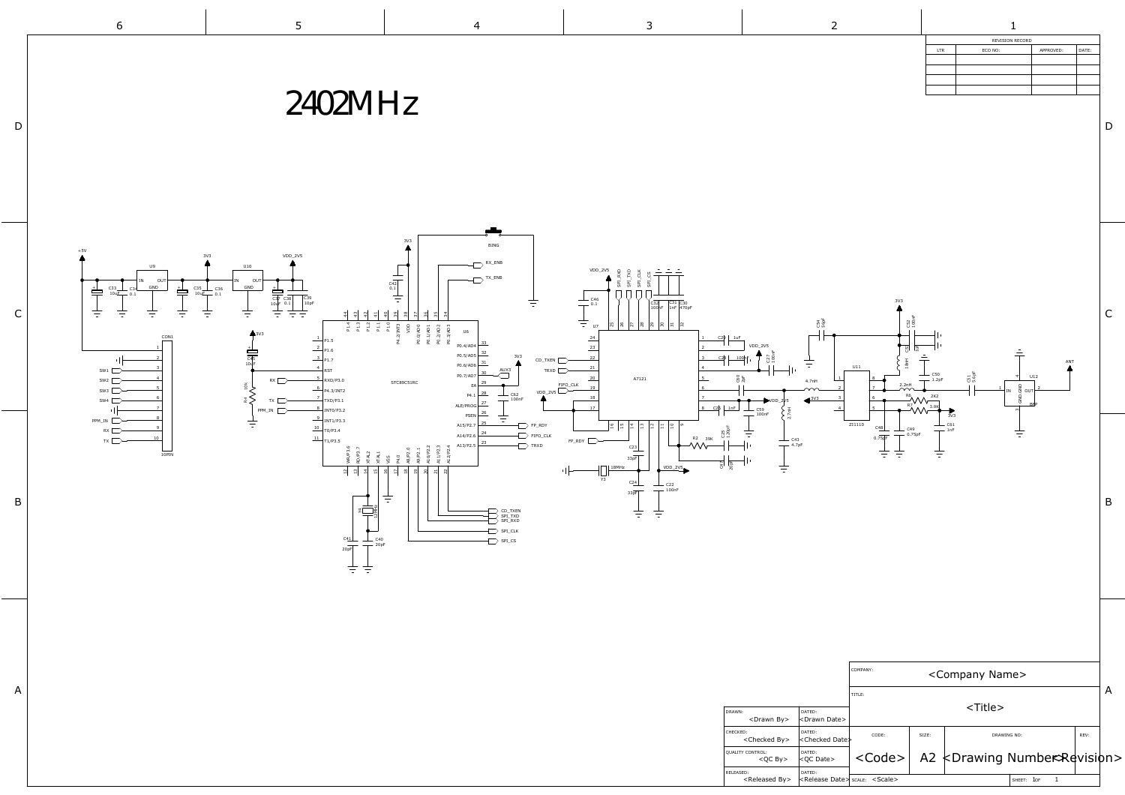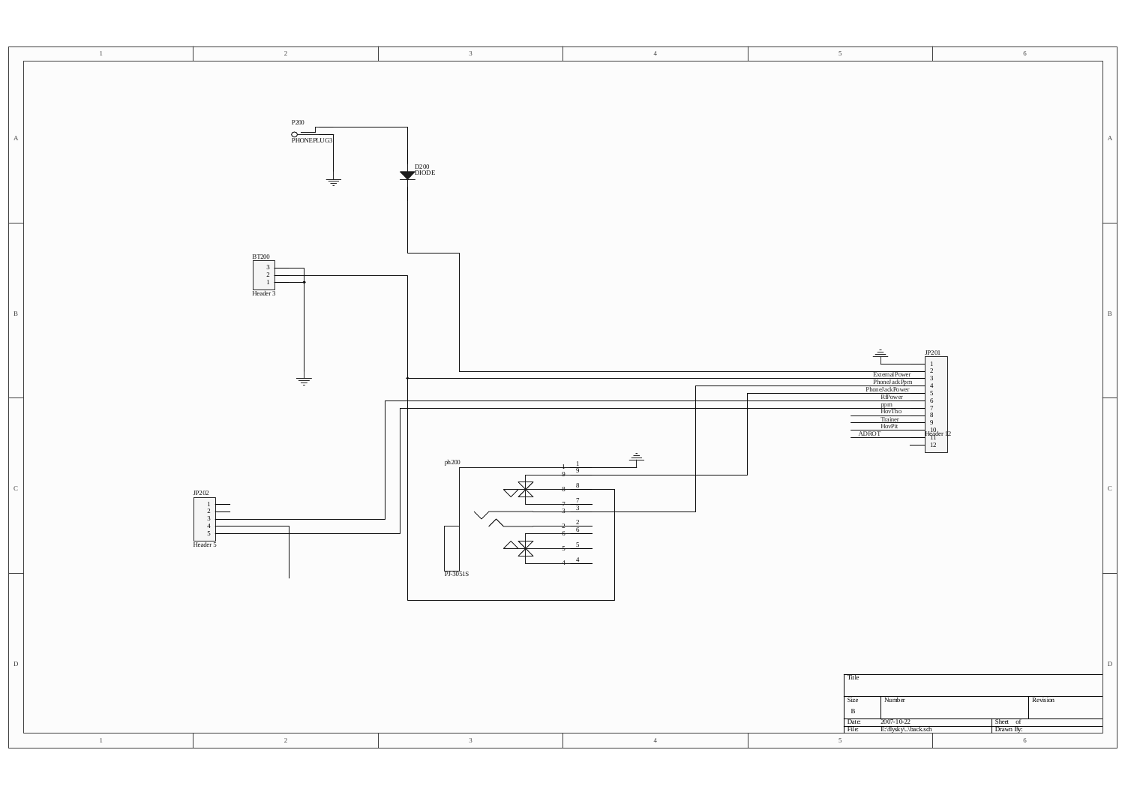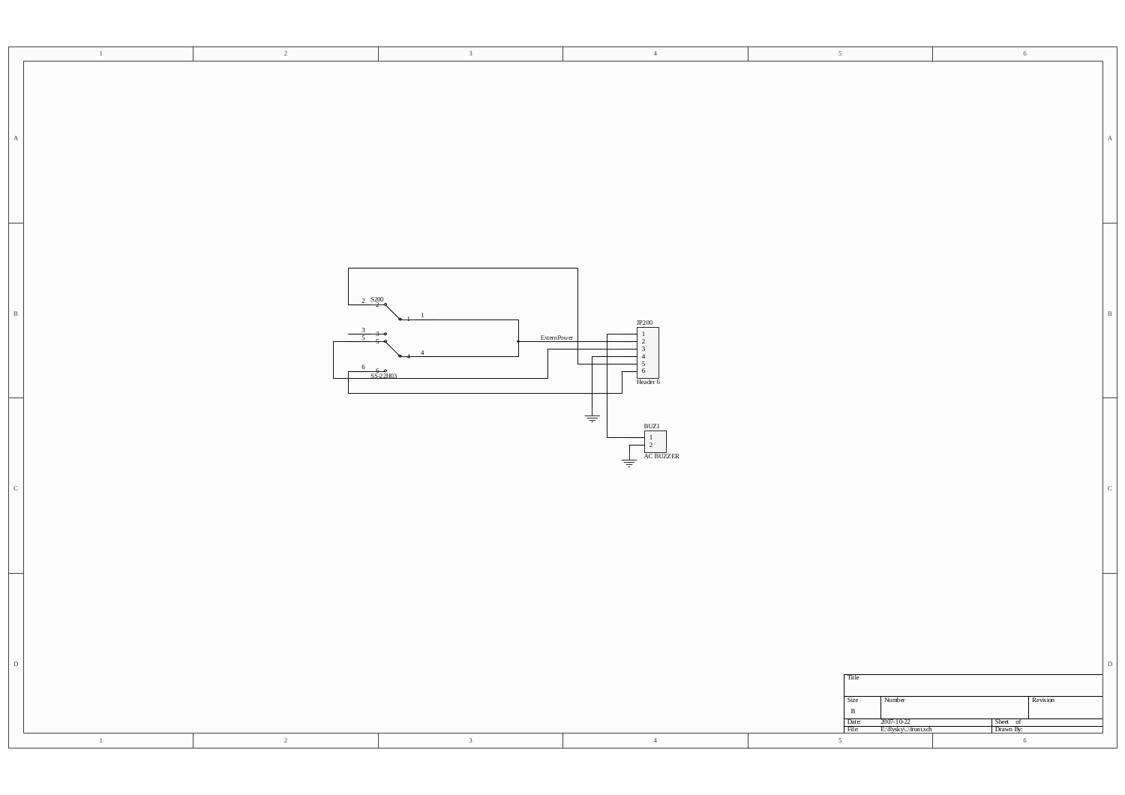|              | $\qquad \qquad 1$ | $\sqrt{2}$               | 3 <sup>3</sup>                              | $4 -$                                                       | $5\overline{)}$                                                                                             | $6\phantom{.0}$                                                     |
|--------------|-------------------|--------------------------|---------------------------------------------|-------------------------------------------------------------|-------------------------------------------------------------------------------------------------------------|---------------------------------------------------------------------|
|              |                   |                          |                                             |                                                             |                                                                                                             | А                                                                   |
| <sub>R</sub> |                   | 2 S200<br>6              | Extern Power<br>$\frac{6}{\text{SS-22H03}}$ | JP200<br>4<br>5 <sup>5</sup><br>$6\overline{6}$<br>Header 6 |                                                                                                             | B                                                                   |
|              |                   |                          |                                             | $\Rightarrow$<br>BUZ1<br><b>AC BUZZER</b><br>≑              |                                                                                                             | C                                                                   |
| D            | $\qquad \qquad 1$ | $\overline{\phantom{a}}$ | 3 <sup>7</sup>                              | $4\overline{4}$                                             | Title<br>Size<br>Number<br>$\, {\bf B}$<br>Date: 2007-10-22<br>File: E:\flysky\\front.sch<br>5 <sup>5</sup> | $\mathbb D$<br>Revision<br>Sheet of<br>Drawn By:<br>$6\overline{6}$ |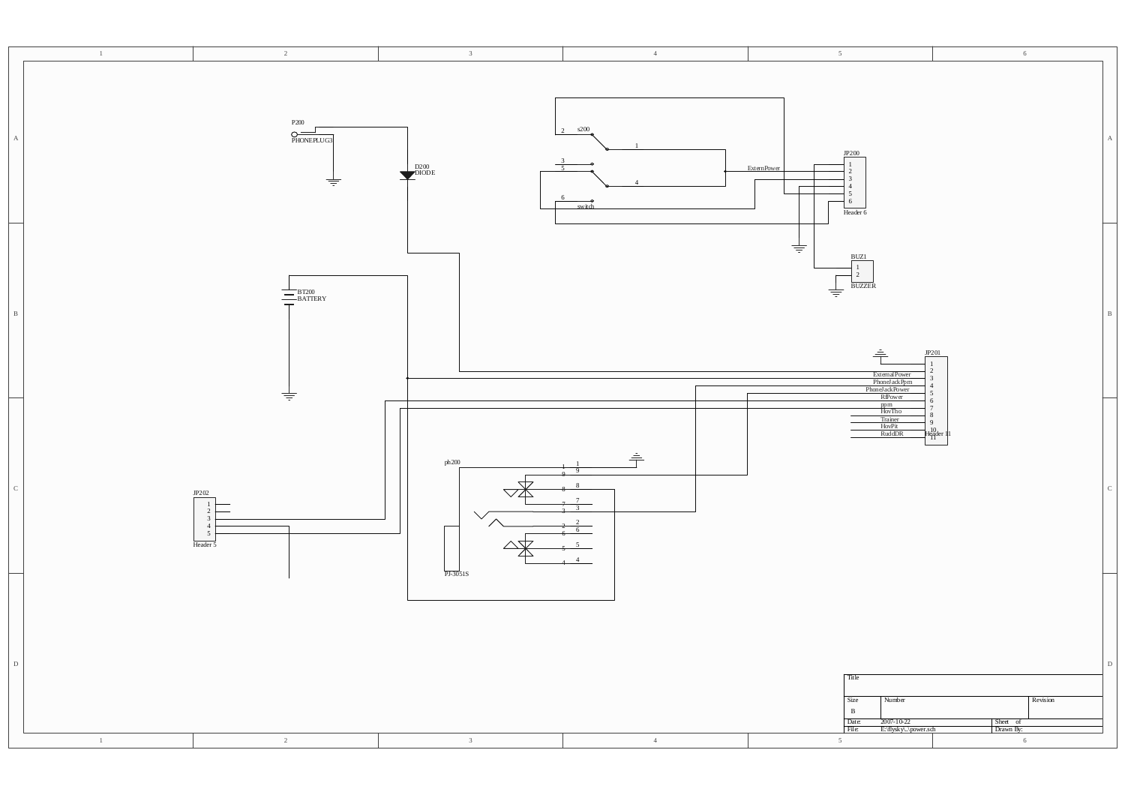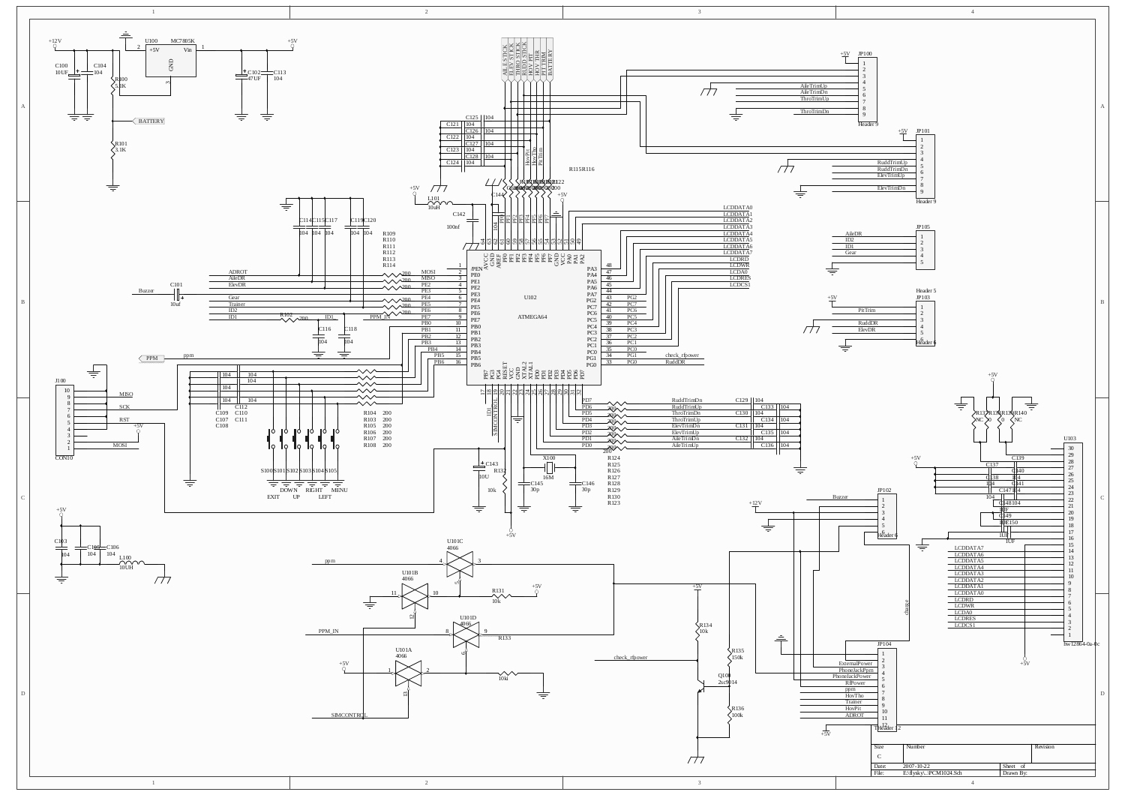